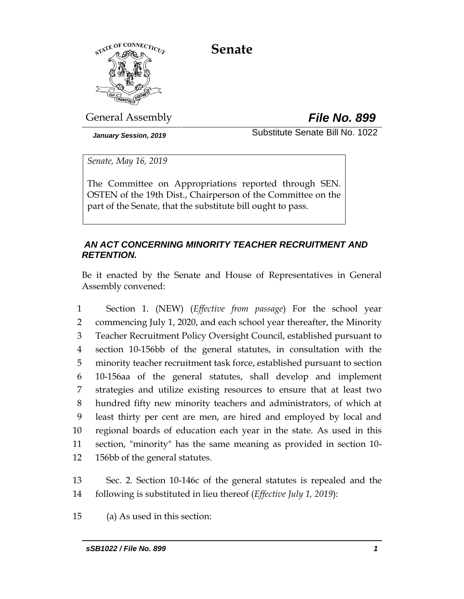**Senate**



General Assembly *File No. 899*

*January Session, 2019* Substitute Senate Bill No. 1022

*Senate, May 16, 2019*

The Committee on Appropriations reported through SEN. OSTEN of the 19th Dist., Chairperson of the Committee on the part of the Senate, that the substitute bill ought to pass.

# *AN ACT CONCERNING MINORITY TEACHER RECRUITMENT AND RETENTION.*

Be it enacted by the Senate and House of Representatives in General Assembly convened:

 Section 1. (NEW) (*Effective from passage*) For the school year commencing July 1, 2020, and each school year thereafter, the Minority Teacher Recruitment Policy Oversight Council, established pursuant to section 10-156bb of the general statutes, in consultation with the minority teacher recruitment task force, established pursuant to section 10-156aa of the general statutes, shall develop and implement strategies and utilize existing resources to ensure that at least two hundred fifty new minority teachers and administrators, of which at least thirty per cent are men, are hired and employed by local and regional boards of education each year in the state. As used in this section, "minority" has the same meaning as provided in section 10- 156bb of the general statutes.

13 Sec. 2. Section 10-146c of the general statutes is repealed and the 14 following is substituted in lieu thereof (*Effective July 1, 2019*):

15 (a) As used in this section: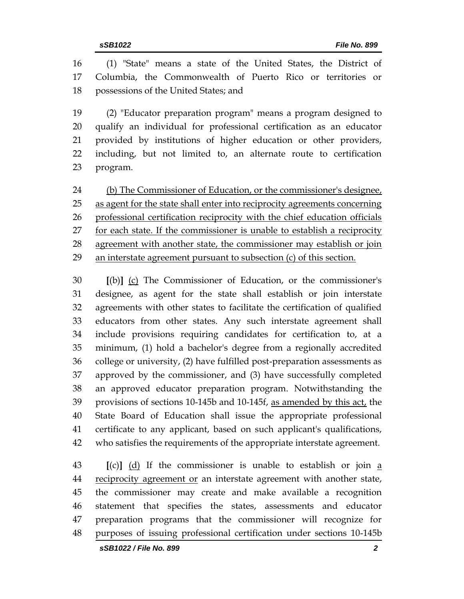(1) "State" means a state of the United States, the District of Columbia, the Commonwealth of Puerto Rico or territories or possessions of the United States; and

 (2) "Educator preparation program" means a program designed to qualify an individual for professional certification as an educator provided by institutions of higher education or other providers, including, but not limited to, an alternate route to certification program.

24 (b) The Commissioner of Education, or the commissioner's designee, as agent for the state shall enter into reciprocity agreements concerning professional certification reciprocity with the chief education officials for each state. If the commissioner is unable to establish a reciprocity agreement with another state, the commissioner may establish or join an interstate agreement pursuant to subsection (c) of this section.

 **[**(b)**]** (c) The Commissioner of Education, or the commissioner's designee, as agent for the state shall establish or join interstate agreements with other states to facilitate the certification of qualified educators from other states. Any such interstate agreement shall include provisions requiring candidates for certification to, at a minimum, (1) hold a bachelor's degree from a regionally accredited college or university, (2) have fulfilled post-preparation assessments as approved by the commissioner, and (3) have successfully completed an approved educator preparation program. Notwithstanding the 39 provisions of sections 10-145b and 10-145f, as amended by this act, the State Board of Education shall issue the appropriate professional certificate to any applicant, based on such applicant's qualifications, who satisfies the requirements of the appropriate interstate agreement.

 **[**(c)**]** (d) If the commissioner is unable to establish or join a 44 reciprocity agreement or an interstate agreement with another state, the commissioner may create and make available a recognition statement that specifies the states, assessments and educator preparation programs that the commissioner will recognize for purposes of issuing professional certification under sections 10-145b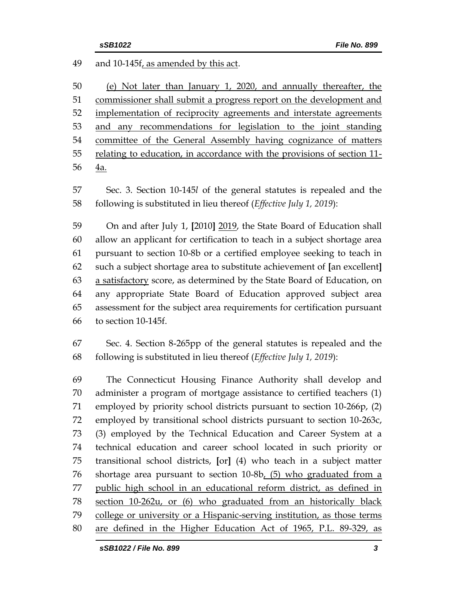and 10-145f, as amended by this act.

 (e) Not later than January 1, 2020, and annually thereafter, the commissioner shall submit a progress report on the development and implementation of reciprocity agreements and interstate agreements and any recommendations for legislation to the joint standing committee of the General Assembly having cognizance of matters relating to education, in accordance with the provisions of section 11- 4a.

 Sec. 3. Section 10-145*l* of the general statutes is repealed and the following is substituted in lieu thereof (*Effective July 1, 2019*):

 On and after July 1, **[**2010**]** 2019, the State Board of Education shall allow an applicant for certification to teach in a subject shortage area pursuant to section 10-8b or a certified employee seeking to teach in such a subject shortage area to substitute achievement of **[**an excellent**]** a satisfactory score, as determined by the State Board of Education, on any appropriate State Board of Education approved subject area assessment for the subject area requirements for certification pursuant to section 10-145f.

 Sec. 4. Section 8-265pp of the general statutes is repealed and the following is substituted in lieu thereof (*Effective July 1, 2019*):

 The Connecticut Housing Finance Authority shall develop and administer a program of mortgage assistance to certified teachers (1) employed by priority school districts pursuant to section 10-266p, (2) employed by transitional school districts pursuant to section 10-263c, (3) employed by the Technical Education and Career System at a technical education and career school located in such priority or transitional school districts, **[**or**]** (4) who teach in a subject matter shortage area pursuant to section 10-8b, (5) who graduated from a public high school in an educational reform district, as defined in section 10-262u, or (6) who graduated from an historically black college or university or a Hispanic-serving institution, as those terms are defined in the Higher Education Act of 1965, P.L. 89-329, as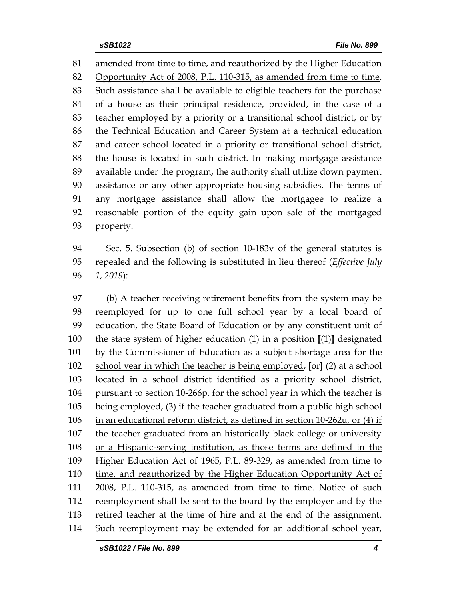amended from time to time, and reauthorized by the Higher Education Opportunity Act of 2008, P.L. 110-315, as amended from time to time. Such assistance shall be available to eligible teachers for the purchase of a house as their principal residence, provided, in the case of a teacher employed by a priority or a transitional school district, or by the Technical Education and Career System at a technical education and career school located in a priority or transitional school district, the house is located in such district. In making mortgage assistance available under the program, the authority shall utilize down payment assistance or any other appropriate housing subsidies. The terms of any mortgage assistance shall allow the mortgagee to realize a reasonable portion of the equity gain upon sale of the mortgaged property.

 Sec. 5. Subsection (b) of section 10-183v of the general statutes is repealed and the following is substituted in lieu thereof (*Effective July 1, 2019*):

 (b) A teacher receiving retirement benefits from the system may be reemployed for up to one full school year by a local board of education, the State Board of Education or by any constituent unit of the state system of higher education (1) in a position **[**(1)**]** designated 101 by the Commissioner of Education as a subject shortage area for the school year in which the teacher is being employed, **[**or**]** (2) at a school located in a school district identified as a priority school district, pursuant to section 10-266p, for the school year in which the teacher is being employed, (3) if the teacher graduated from a public high school in an educational reform district, as defined in section 10-262u, or (4) if the teacher graduated from an historically black college or university or a Hispanic-serving institution, as those terms are defined in the Higher Education Act of 1965, P.L. 89-329, as amended from time to time, and reauthorized by the Higher Education Opportunity Act of 2008, P.L. 110-315, as amended from time to time. Notice of such reemployment shall be sent to the board by the employer and by the retired teacher at the time of hire and at the end of the assignment. Such reemployment may be extended for an additional school year,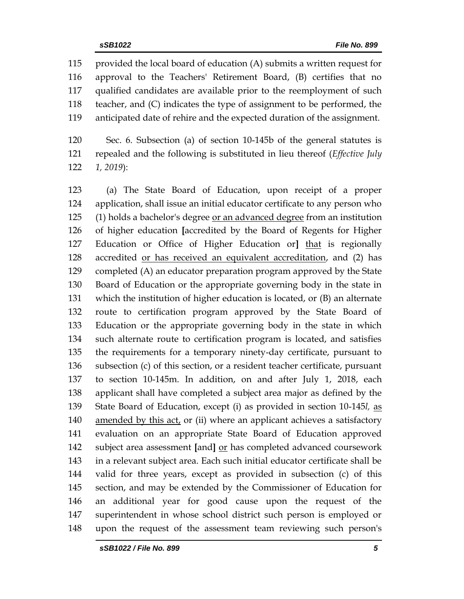provided the local board of education (A) submits a written request for approval to the Teachers' Retirement Board, (B) certifies that no qualified candidates are available prior to the reemployment of such teacher, and (C) indicates the type of assignment to be performed, the anticipated date of rehire and the expected duration of the assignment.

 Sec. 6. Subsection (a) of section 10-145b of the general statutes is repealed and the following is substituted in lieu thereof (*Effective July 1, 2019*):

 (a) The State Board of Education, upon receipt of a proper application, shall issue an initial educator certificate to any person who (1) holds a bachelor's degree or an advanced degree from an institution of higher education **[**accredited by the Board of Regents for Higher Education or Office of Higher Education or**]** that is regionally accredited or has received an equivalent accreditation, and (2) has completed (A) an educator preparation program approved by the State Board of Education or the appropriate governing body in the state in which the institution of higher education is located, or (B) an alternate route to certification program approved by the State Board of Education or the appropriate governing body in the state in which such alternate route to certification program is located, and satisfies the requirements for a temporary ninety-day certificate, pursuant to subsection (c) of this section, or a resident teacher certificate, pursuant to section 10-145m. In addition, on and after July 1, 2018, each applicant shall have completed a subject area major as defined by the State Board of Education, except (i) as provided in section 10-145*l,* as amended by this act, or (ii) where an applicant achieves a satisfactory evaluation on an appropriate State Board of Education approved subject area assessment **[**and**]** or has completed advanced coursework in a relevant subject area. Each such initial educator certificate shall be valid for three years, except as provided in subsection (c) of this section, and may be extended by the Commissioner of Education for an additional year for good cause upon the request of the superintendent in whose school district such person is employed or upon the request of the assessment team reviewing such person's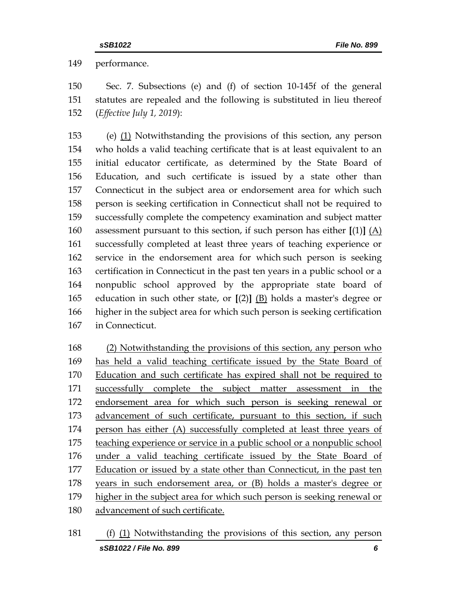performance.

 Sec. 7. Subsections (e) and (f) of section 10-145f of the general statutes are repealed and the following is substituted in lieu thereof (*Effective July 1, 2019*):

 (e) (1) Notwithstanding the provisions of this section, any person who holds a valid teaching certificate that is at least equivalent to an initial educator certificate, as determined by the State Board of Education, and such certificate is issued by a state other than Connecticut in the subject area or endorsement area for which such person is seeking certification in Connecticut shall not be required to successfully complete the competency examination and subject matter assessment pursuant to this section, if such person has either **[**(1)**]** (A) successfully completed at least three years of teaching experience or service in the endorsement area for which such person is seeking certification in Connecticut in the past ten years in a public school or a nonpublic school approved by the appropriate state board of education in such other state, or **[**(2)**]** (B) holds a master's degree or higher in the subject area for which such person is seeking certification in Connecticut.

 (2) Notwithstanding the provisions of this section, any person who has held a valid teaching certificate issued by the State Board of Education and such certificate has expired shall not be required to successfully complete the subject matter assessment in the endorsement area for which such person is seeking renewal or advancement of such certificate, pursuant to this section, if such person has either (A) successfully completed at least three years of teaching experience or service in a public school or a nonpublic school under a valid teaching certificate issued by the State Board of 177 Education or issued by a state other than Connecticut, in the past ten years in such endorsement area, or (B) holds a master's degree or higher in the subject area for which such person is seeking renewal or advancement of such certificate.

*sSB1022 / File No. 899 6* (f) (1) Notwithstanding the provisions of this section, any person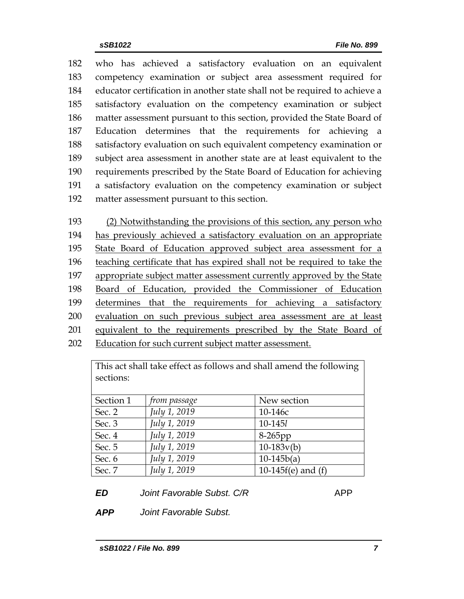who has achieved a satisfactory evaluation on an equivalent competency examination or subject area assessment required for educator certification in another state shall not be required to achieve a satisfactory evaluation on the competency examination or subject matter assessment pursuant to this section, provided the State Board of Education determines that the requirements for achieving a satisfactory evaluation on such equivalent competency examination or subject area assessment in another state are at least equivalent to the requirements prescribed by the State Board of Education for achieving a satisfactory evaluation on the competency examination or subject matter assessment pursuant to this section.

 (2) Notwithstanding the provisions of this section, any person who has previously achieved a satisfactory evaluation on an appropriate State Board of Education approved subject area assessment for a teaching certificate that has expired shall not be required to take the appropriate subject matter assessment currently approved by the State Board of Education, provided the Commissioner of Education 199 determines that the requirements for achieving a satisfactory evaluation on such previous subject area assessment are at least 201 equivalent to the requirements prescribed by the State Board of Education for such current subject matter assessment.

This act shall take effect as follows and shall amend the following sections:

| Section 1 | <i>from passage</i> | New section             |
|-----------|---------------------|-------------------------|
| Sec. 2    | July 1, 2019        | 10-146с                 |
| Sec. 3    | July 1, 2019        | 10-1451                 |
| Sec. 4    | July 1, 2019        | $8-265$ pp              |
| Sec. 5    | July 1, 2019        | $10-183v(b)$            |
| Sec. 6    | July 1, 2019        | $10-145b(a)$            |
| Sec. 7    | July 1, 2019        | 10-145 $f(e)$ and $(f)$ |

*ED Joint Favorable Subst. C/R* **APP** 

*APP Joint Favorable Subst.*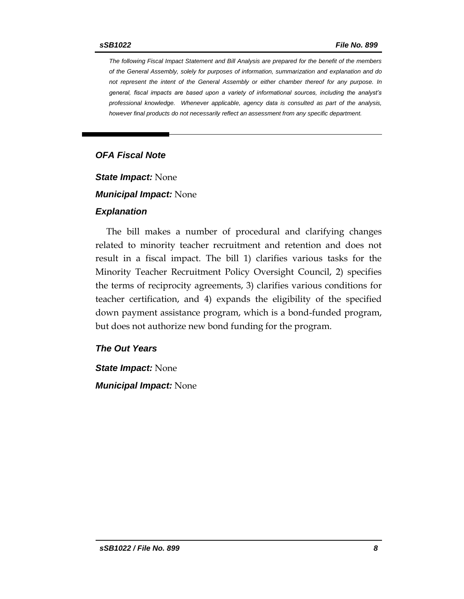*The following Fiscal Impact Statement and Bill Analysis are prepared for the benefit of the members of the General Assembly, solely for purposes of information, summarization and explanation and do not represent the intent of the General Assembly or either chamber thereof for any purpose. In general, fiscal impacts are based upon a variety of informational sources, including the analyst's professional knowledge. Whenever applicable, agency data is consulted as part of the analysis, however final products do not necessarily reflect an assessment from any specific department.*

### *OFA Fiscal Note*

*State Impact:* None

*Municipal Impact:* None

#### *Explanation*

The bill makes a number of procedural and clarifying changes related to minority teacher recruitment and retention and does not result in a fiscal impact. The bill 1) clarifies various tasks for the Minority Teacher Recruitment Policy Oversight Council, 2) specifies the terms of reciprocity agreements, 3) clarifies various conditions for teacher certification, and 4) expands the eligibility of the specified down payment assistance program, which is a bond-funded program, but does not authorize new bond funding for the program.

#### *The Out Years*

*State Impact:* None *Municipal Impact:* None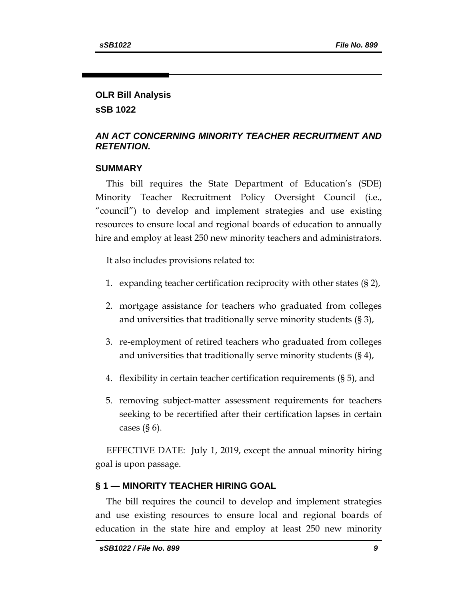# **OLR Bill Analysis sSB 1022**

## *AN ACT CONCERNING MINORITY TEACHER RECRUITMENT AND RETENTION.*

### **SUMMARY**

This bill requires the State Department of Education's (SDE) Minority Teacher Recruitment Policy Oversight Council (i.e., "council") to develop and implement strategies and use existing resources to ensure local and regional boards of education to annually hire and employ at least 250 new minority teachers and administrators.

It also includes provisions related to:

- 1. expanding teacher certification reciprocity with other states (§ 2),
- 2. mortgage assistance for teachers who graduated from colleges and universities that traditionally serve minority students (§ 3),
- 3. re-employment of retired teachers who graduated from colleges and universities that traditionally serve minority students (§ 4),
- 4. flexibility in certain teacher certification requirements (§ 5), and
- 5. removing subject-matter assessment requirements for teachers seeking to be recertified after their certification lapses in certain cases  $(§ 6)$ .

EFFECTIVE DATE: July 1, 2019, except the annual minority hiring goal is upon passage.

## **§ 1 — MINORITY TEACHER HIRING GOAL**

The bill requires the council to develop and implement strategies and use existing resources to ensure local and regional boards of education in the state hire and employ at least 250 new minority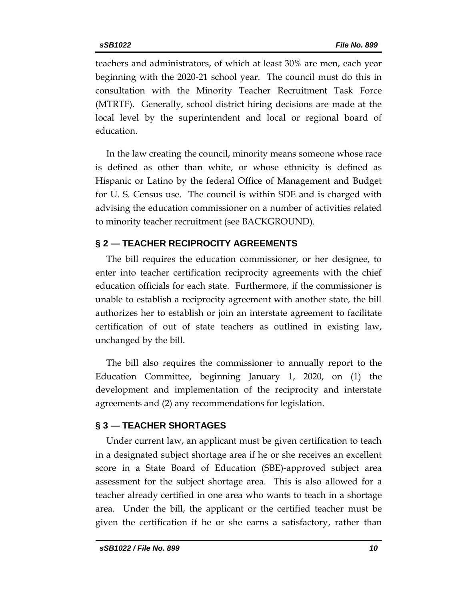teachers and administrators, of which at least 30% are men, each year beginning with the 2020-21 school year. The council must do this in consultation with the Minority Teacher Recruitment Task Force (MTRTF). Generally, school district hiring decisions are made at the local level by the superintendent and local or regional board of education.

In the law creating the council, minority means someone whose race is defined as other than white, or whose ethnicity is defined as Hispanic or Latino by the federal Office of Management and Budget for U. S. Census use. The council is within SDE and is charged with advising the education commissioner on a number of activities related to minority teacher recruitment (see BACKGROUND).

## **§ 2 — TEACHER RECIPROCITY AGREEMENTS**

The bill requires the education commissioner, or her designee, to enter into teacher certification reciprocity agreements with the chief education officials for each state. Furthermore, if the commissioner is unable to establish a reciprocity agreement with another state, the bill authorizes her to establish or join an interstate agreement to facilitate certification of out of state teachers as outlined in existing law, unchanged by the bill.

The bill also requires the commissioner to annually report to the Education Committee, beginning January 1, 2020, on (1) the development and implementation of the reciprocity and interstate agreements and (2) any recommendations for legislation.

## **§ 3 — TEACHER SHORTAGES**

Under current law, an applicant must be given certification to teach in a designated subject shortage area if he or she receives an excellent score in a State Board of Education (SBE)-approved subject area assessment for the subject shortage area. This is also allowed for a teacher already certified in one area who wants to teach in a shortage area. Under the bill, the applicant or the certified teacher must be given the certification if he or she earns a satisfactory, rather than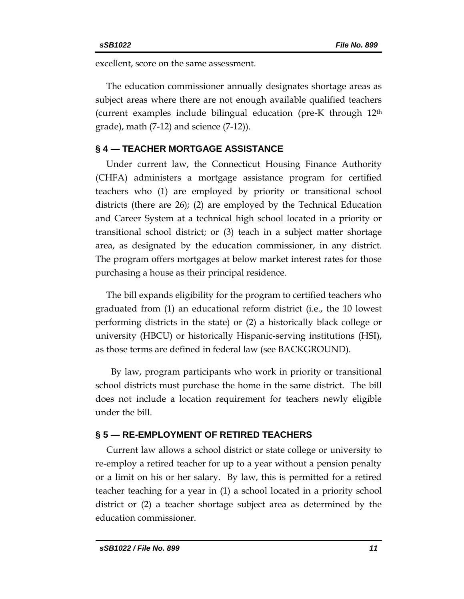excellent, score on the same assessment.

The education commissioner annually designates shortage areas as subject areas where there are not enough available qualified teachers (current examples include bilingual education (pre-K through 12th grade), math (7-12) and science (7-12)).

### **§ 4 — TEACHER MORTGAGE ASSISTANCE**

Under current law, the Connecticut Housing Finance Authority (CHFA) administers a mortgage assistance program for certified teachers who (1) are employed by priority or transitional school districts (there are 26); (2) are employed by the Technical Education and Career System at a technical high school located in a priority or transitional school district; or (3) teach in a subject matter shortage area, as designated by the education commissioner, in any district. The program offers mortgages at below market interest rates for those purchasing a house as their principal residence.

The bill expands eligibility for the program to certified teachers who graduated from (1) an educational reform district (i.e., the 10 lowest performing districts in the state) or (2) a historically black college or university (HBCU) or historically Hispanic-serving institutions (HSI), as those terms are defined in federal law (see BACKGROUND).

 By law, program participants who work in priority or transitional school districts must purchase the home in the same district. The bill does not include a location requirement for teachers newly eligible under the bill.

#### **§ 5 — RE-EMPLOYMENT OF RETIRED TEACHERS**

Current law allows a school district or state college or university to re-employ a retired teacher for up to a year without a pension penalty or a limit on his or her salary. By law, this is permitted for a retired teacher teaching for a year in (1) a school located in a priority school district or (2) a teacher shortage subject area as determined by the education commissioner.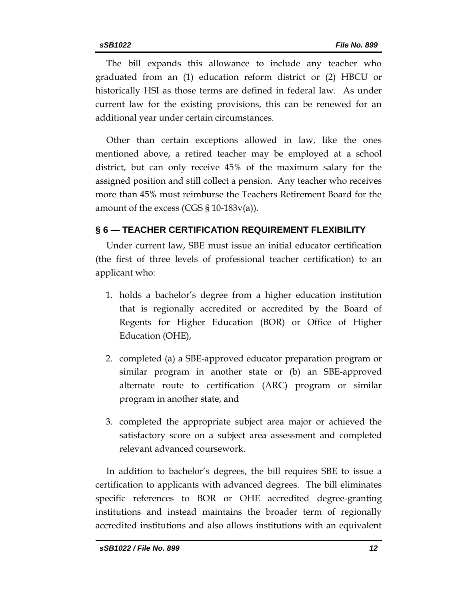The bill expands this allowance to include any teacher who graduated from an (1) education reform district or (2) HBCU or historically HSI as those terms are defined in federal law. As under current law for the existing provisions, this can be renewed for an additional year under certain circumstances.

Other than certain exceptions allowed in law, like the ones mentioned above, a retired teacher may be employed at a school district, but can only receive 45% of the maximum salary for the assigned position and still collect a pension. Any teacher who receives more than 45% must reimburse the Teachers Retirement Board for the amount of the excess (CGS  $\S 10-183v(a)$ ).

# **§ 6 — TEACHER CERTIFICATION REQUIREMENT FLEXIBILITY**

Under current law, SBE must issue an initial educator certification (the first of three levels of professional teacher certification) to an applicant who:

- 1. holds a bachelor's degree from a higher education institution that is regionally accredited or accredited by the Board of Regents for Higher Education (BOR) or Office of Higher Education (OHE),
- 2. completed (a) a SBE-approved educator preparation program or similar program in another state or (b) an SBE-approved alternate route to certification (ARC) program or similar program in another state, and
- 3. completed the appropriate subject area major or achieved the satisfactory score on a subject area assessment and completed relevant advanced coursework.

In addition to bachelor's degrees, the bill requires SBE to issue a certification to applicants with advanced degrees. The bill eliminates specific references to BOR or OHE accredited degree-granting institutions and instead maintains the broader term of regionally accredited institutions and also allows institutions with an equivalent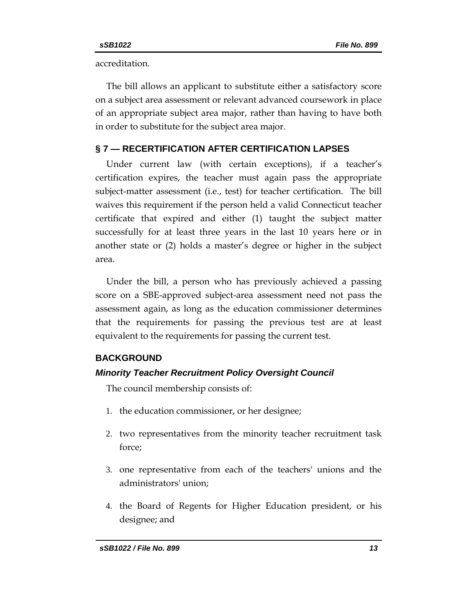accreditation.

The bill allows an applicant to substitute either a satisfactory score on a subject area assessment or relevant advanced coursework in place of an appropriate subject area major, rather than having to have both in order to substitute for the subject area major.

# **§ 7 — RECERTIFICATION AFTER CERTIFICATION LAPSES**

Under current law (with certain exceptions), if a teacher's certification expires, the teacher must again pass the appropriate subject-matter assessment (i.e., test) for teacher certification. The bill waives this requirement if the person held a valid Connecticut teacher certificate that expired and either (1) taught the subject matter successfully for at least three years in the last 10 years here or in another state or (2) holds a master's degree or higher in the subject area.

Under the bill, a person who has previously achieved a passing score on a SBE-approved subject-area assessment need not pass the assessment again, as long as the education commissioner determines that the requirements for passing the previous test are at least equivalent to the requirements for passing the current test.

# **BACKGROUND**

# *Minority Teacher Recruitment Policy Oversight Council*

The council membership consists of:

- 1. the education commissioner, or her designee;
- 2. two representatives from the minority teacher recruitment task force;
- 3. one representative from each of the teachers' unions and the administrators' union;
- 4. the Board of Regents for Higher Education president, or his designee; and